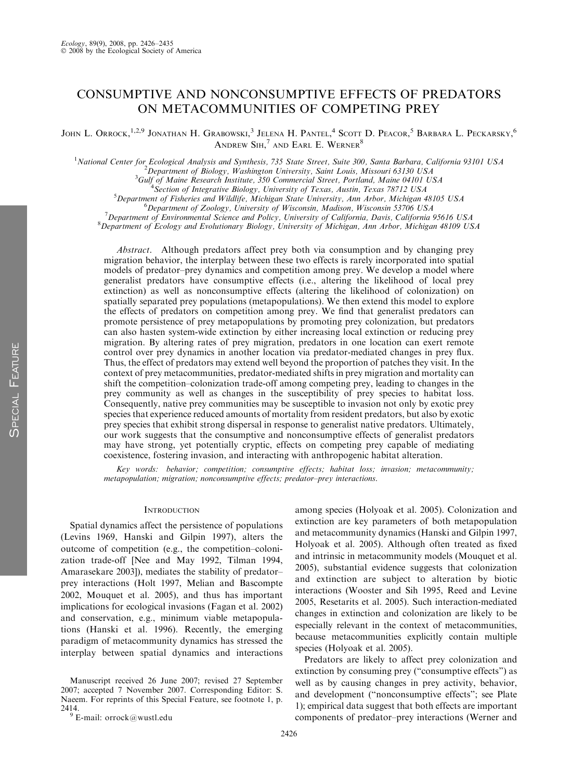# CONSUMPTIVE AND NONCONSUMPTIVE EFFECTS OF PREDATORS ON METACOMMUNITIES OF COMPETING PREY

JOHN L. Orrock,<sup>1,2,9</sup> Jonathan H. Grabowski,<sup>3</sup> Jelena H. Pantel,<sup>4</sup> Scott D. Peacor,<sup>5</sup> Barbara L. Peckarsky,<sup>6</sup> Andrew Sih, $^7$  and Earl E. Werner $^8$ 

<sup>1</sup>National Center for Ecological Analysis and Synthesis, 735 State Street, Suite 300, Santa Barbara, California 93101 USA<br><sup>2</sup> Department of Biology Washington University, Saint Louis Missouri 63130 USA

<sup>2</sup>Department of Biology, Washington University, Saint Louis, Missouri 63130 USA

 ${}^{3}$ Gulf of Maine Research Institute, 350 Commercial Street, Portland, Maine 04101 USA

<sup>4</sup> Section of Integrative Biology, University of Texas, Austin, Texas 78712 USA

 $5$ Department of Fisheries and Wildlife, Michigan State University, Ann Arbor, Michigan 48105 USA

 ${}^{6}$ Department of Zoology, University of Wisconsin, Madison, Wisconsin 53706 USA

 $^7$ Department of Environmental Science and Policy, University of California, Davis, California 95616 USA

 $8$ Department of Ecology and Evolutionary Biology, University of Michigan, Ann Arbor, Michigan 48109 USA

Abstract. Although predators affect prey both via consumption and by changing prey migration behavior, the interplay between these two effects is rarely incorporated into spatial models of predator–prey dynamics and competition among prey. We develop a model where generalist predators have consumptive effects (i.e., altering the likelihood of local prey extinction) as well as nonconsumptive effects (altering the likelihood of colonization) on spatially separated prey populations (metapopulations). We then extend this model to explore the effects of predators on competition among prey. We find that generalist predators can promote persistence of prey metapopulations by promoting prey colonization, but predators can also hasten system-wide extinction by either increasing local extinction or reducing prey migration. By altering rates of prey migration, predators in one location can exert remote control over prey dynamics in another location via predator-mediated changes in prey flux. Thus, the effect of predators may extend well beyond the proportion of patches they visit. In the context of prey metacommunities, predator-mediated shifts in prey migration and mortality can shift the competition–colonization trade-off among competing prey, leading to changes in the prey community as well as changes in the susceptibility of prey species to habitat loss. Consequently, native prey communities may be susceptible to invasion not only by exotic prey species that experience reduced amounts of mortality from resident predators, but also by exotic prey species that exhibit strong dispersal in response to generalist native predators. Ultimately, our work suggests that the consumptive and nonconsumptive effects of generalist predators may have strong, yet potentially cryptic, effects on competing prey capable of mediating coexistence, fostering invasion, and interacting with anthropogenic habitat alteration.

Key words: behavior; competition; consumptive effects; habitat loss; invasion; metacommunity; metapopulation; migration; nonconsumptive effects; predator–prey interactions.

## **INTRODUCTION**

Spatial dynamics affect the persistence of populations (Levins 1969, Hanski and Gilpin 1997), alters the outcome of competition (e.g., the competition–colonization trade-off [Nee and May 1992, Tilman 1994, Amarasekare 2003]), mediates the stability of predator– prey interactions (Holt 1997, Melian and Bascompte 2002, Mouquet et al. 2005), and thus has important implications for ecological invasions (Fagan et al. 2002) and conservation, e.g., minimum viable metapopulations (Hanski et al. 1996). Recently, the emerging paradigm of metacommunity dynamics has stressed the interplay between spatial dynamics and interactions

among species (Holyoak et al. 2005). Colonization and extinction are key parameters of both metapopulation and metacommunity dynamics (Hanski and Gilpin 1997, Holyoak et al. 2005). Although often treated as fixed and intrinsic in metacommunity models (Mouquet et al. 2005), substantial evidence suggests that colonization and extinction are subject to alteration by biotic interactions (Wooster and Sih 1995, Reed and Levine 2005, Resetarits et al. 2005). Such interaction-mediated changes in extinction and colonization are likely to be especially relevant in the context of metacommunities, because metacommunities explicitly contain multiple species (Holyoak et al. 2005).

Predators are likely to affect prey colonization and extinction by consuming prey (''consumptive effects'') as well as by causing changes in prey activity, behavior, and development (''nonconsumptive effects''; see Plate 1); empirical data suggest that both effects are important components of predator–prey interactions (Werner and

Manuscript received 26 June 2007; revised 27 September 2007; accepted 7 November 2007. Corresponding Editor: S. Naeem. For reprints of this Special Feature, see footnote 1, p. 2414.  $^9$  E-mail:  $\textup{orrock@wustl.edu}$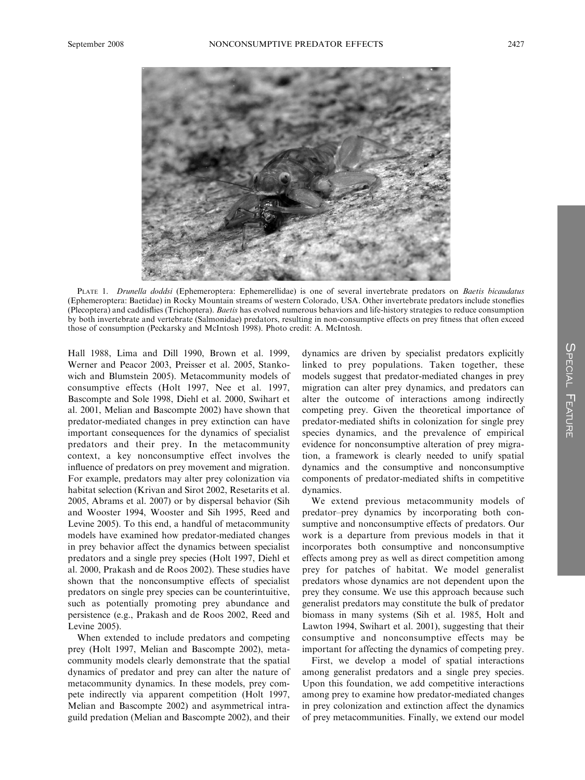

PLATE 1. Drunella doddsi (Ephemeroptera: Ephemerellidae) is one of several invertebrate predators on Baetis bicaudatus (Ephemeroptera: Baetidae) in Rocky Mountain streams of western Colorado, USA. Other invertebrate predators include stoneflies (Plecoptera) and caddisflies (Trichoptera). Baetis has evolved numerous behaviors and life-history strategies to reduce consumption by both invertebrate and vertebrate (Salmonidae) predators, resulting in non-consumptive effects on prey fitness that often exceed those of consumption (Peckarsky and McIntosh 1998). Photo credit: A. McIntosh.

Hall 1988, Lima and Dill 1990, Brown et al. 1999, Werner and Peacor 2003, Preisser et al. 2005, Stankowich and Blumstein 2005). Metacommunity models of consumptive effects (Holt 1997, Nee et al. 1997, Bascompte and Sole 1998, Diehl et al. 2000, Swihart et al. 2001, Melian and Bascompte 2002) have shown that predator-mediated changes in prey extinction can have important consequences for the dynamics of specialist predators and their prey. In the metacommunity context, a key nonconsumptive effect involves the influence of predators on prey movement and migration. For example, predators may alter prey colonization via habitat selection (Krivan and Sirot 2002, Resetarits et al. 2005, Abrams et al. 2007) or by dispersal behavior (Sih and Wooster 1994, Wooster and Sih 1995, Reed and Levine 2005). To this end, a handful of metacommunity models have examined how predator-mediated changes in prey behavior affect the dynamics between specialist predators and a single prey species (Holt 1997, Diehl et al. 2000, Prakash and de Roos 2002). These studies have shown that the nonconsumptive effects of specialist predators on single prey species can be counterintuitive, such as potentially promoting prey abundance and persistence (e.g., Prakash and de Roos 2002, Reed and Levine 2005).

When extended to include predators and competing prey (Holt 1997, Melian and Bascompte 2002), metacommunity models clearly demonstrate that the spatial dynamics of predator and prey can alter the nature of metacommunity dynamics. In these models, prey compete indirectly via apparent competition (Holt 1997, Melian and Bascompte 2002) and asymmetrical intraguild predation (Melian and Bascompte 2002), and their dynamics are driven by specialist predators explicitly linked to prey populations. Taken together, these models suggest that predator-mediated changes in prey migration can alter prey dynamics, and predators can alter the outcome of interactions among indirectly competing prey. Given the theoretical importance of predator-mediated shifts in colonization for single prey species dynamics, and the prevalence of empirical evidence for nonconsumptive alteration of prey migration, a framework is clearly needed to unify spatial dynamics and the consumptive and nonconsumptive components of predator-mediated shifts in competitive dynamics.

We extend previous metacommunity models of predator–prey dynamics by incorporating both consumptive and nonconsumptive effects of predators. Our work is a departure from previous models in that it incorporates both consumptive and nonconsumptive effects among prey as well as direct competition among prey for patches of habitat. We model generalist predators whose dynamics are not dependent upon the prey they consume. We use this approach because such generalist predators may constitute the bulk of predator biomass in many systems (Sih et al. 1985, Holt and Lawton 1994, Swihart et al. 2001), suggesting that their consumptive and nonconsumptive effects may be important for affecting the dynamics of competing prey.

First, we develop a model of spatial interactions among generalist predators and a single prey species. Upon this foundation, we add competitive interactions among prey to examine how predator-mediated changes in prey colonization and extinction affect the dynamics of prey metacommunities. Finally, we extend our model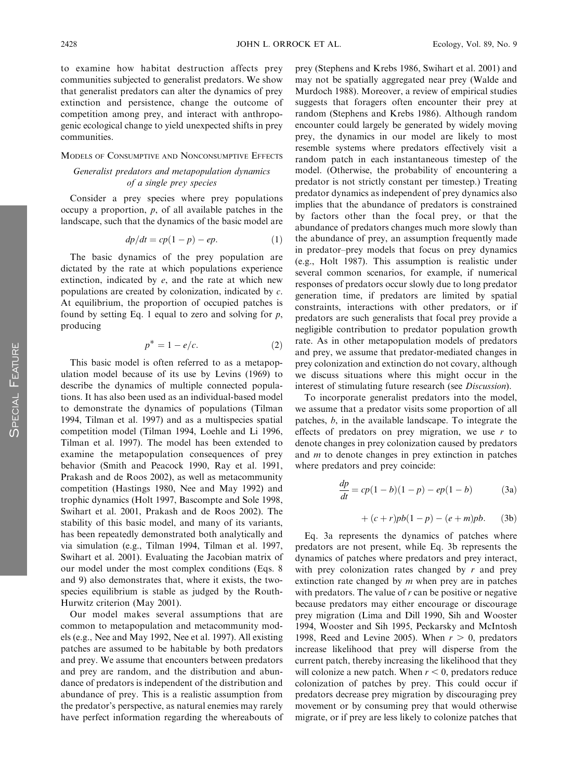to examine how habitat destruction affects prey communities subjected to generalist predators. We show that generalist predators can alter the dynamics of prey extinction and persistence, change the outcome of competition among prey, and interact with anthropogenic ecological change to yield unexpected shifts in prey communities.

#### MODELS OF CONSUMPTIVE AND NONCONSUMPTIVE EFFECTS

## Generalist predators and metapopulation dynamics of a single prey species

Consider a prey species where prey populations occupy a proportion,  $p$ , of all available patches in the landscape, such that the dynamics of the basic model are

$$
dp/dt = cp(1-p) - ep.
$$
 (1)

The basic dynamics of the prey population are dictated by the rate at which populations experience extinction, indicated by  $e$ , and the rate at which new populations are created by colonization, indicated by c. At equilibrium, the proportion of occupied patches is found by setting Eq. 1 equal to zero and solving for  $p$ , producing

$$
p^* = 1 - e/c. \tag{2}
$$

This basic model is often referred to as a metapopulation model because of its use by Levins (1969) to describe the dynamics of multiple connected populations. It has also been used as an individual-based model to demonstrate the dynamics of populations (Tilman 1994, Tilman et al. 1997) and as a multispecies spatial competition model (Tilman 1994, Loehle and Li 1996, Tilman et al. 1997). The model has been extended to examine the metapopulation consequences of prey behavior (Smith and Peacock 1990, Ray et al. 1991, Prakash and de Roos 2002), as well as metacommunity competition (Hastings 1980, Nee and May 1992) and trophic dynamics (Holt 1997, Bascompte and Sole 1998, Swihart et al. 2001, Prakash and de Roos 2002). The stability of this basic model, and many of its variants, has been repeatedly demonstrated both analytically and via simulation (e.g., Tilman 1994, Tilman et al. 1997, Swihart et al. 2001). Evaluating the Jacobian matrix of our model under the most complex conditions (Eqs. 8 and 9) also demonstrates that, where it exists, the twospecies equilibrium is stable as judged by the Routh-Hurwitz criterion (May 2001).

Our model makes several assumptions that are common to metapopulation and metacommunity models (e.g., Nee and May 1992, Nee et al. 1997). All existing patches are assumed to be habitable by both predators and prey. We assume that encounters between predators and prey are random, and the distribution and abundance of predators is independent of the distribution and abundance of prey. This is a realistic assumption from the predator's perspective, as natural enemies may rarely have perfect information regarding the whereabouts of prey (Stephens and Krebs 1986, Swihart et al. 2001) and may not be spatially aggregated near prey (Walde and Murdoch 1988). Moreover, a review of empirical studies suggests that foragers often encounter their prey at random (Stephens and Krebs 1986). Although random encounter could largely be generated by widely moving prey, the dynamics in our model are likely to most resemble systems where predators effectively visit a random patch in each instantaneous timestep of the model. (Otherwise, the probability of encountering a predator is not strictly constant per timestep.) Treating predator dynamics as independent of prey dynamics also implies that the abundance of predators is constrained by factors other than the focal prey, or that the abundance of predators changes much more slowly than the abundance of prey, an assumption frequently made in predator–prey models that focus on prey dynamics (e.g., Holt 1987). This assumption is realistic under several common scenarios, for example, if numerical responses of predators occur slowly due to long predator generation time, if predators are limited by spatial constraints, interactions with other predators, or if predators are such generalists that focal prey provide a negligible contribution to predator population growth rate. As in other metapopulation models of predators and prey, we assume that predator-mediated changes in prey colonization and extinction do not covary, although we discuss situations where this might occur in the interest of stimulating future research (see Discussion).

To incorporate generalist predators into the model, we assume that a predator visits some proportion of all patches, b, in the available landscape. To integrate the effects of predators on prey migration, we use  $r$  to denote changes in prey colonization caused by predators and m to denote changes in prey extinction in patches where predators and prey coincide:

$$
\frac{dp}{dt} = cp(1-b)(1-p) - ep(1-b)
$$
 (3a)

$$
+(c+r)pb(1-p) - (e+m)pb.
$$
 (3b)

Eq. 3a represents the dynamics of patches where predators are not present, while Eq. 3b represents the dynamics of patches where predators and prey interact, with prey colonization rates changed by  $r$  and prey extinction rate changed by  $m$  when prey are in patches with predators. The value of  $r$  can be positive or negative because predators may either encourage or discourage prey migration (Lima and Dill 1990, Sih and Wooster 1994, Wooster and Sih 1995, Peckarsky and McIntosh 1998, Reed and Levine 2005). When  $r > 0$ , predators increase likelihood that prey will disperse from the current patch, thereby increasing the likelihood that they will colonize a new patch. When  $r < 0$ , predators reduce colonization of patches by prey. This could occur if predators decrease prey migration by discouraging prey movement or by consuming prey that would otherwise migrate, or if prey are less likely to colonize patches that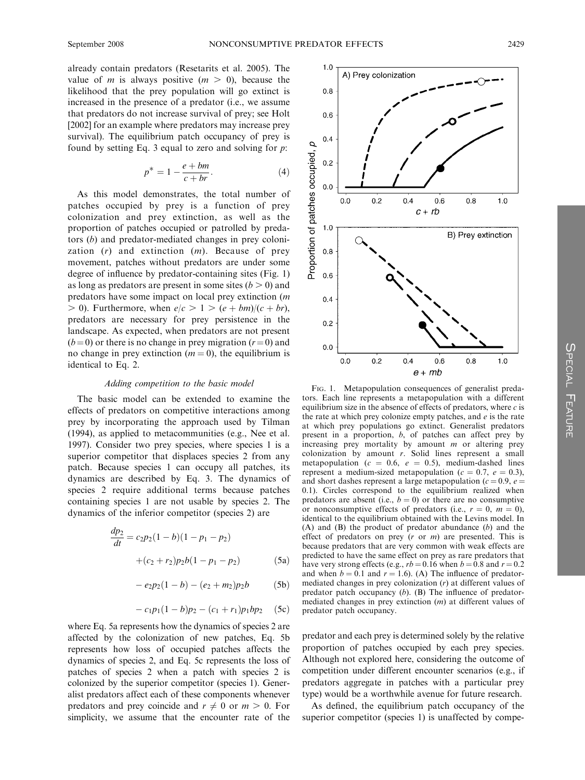already contain predators (Resetarits et al. 2005). The value of *m* is always positive  $(m > 0)$ , because the likelihood that the prey population will go extinct is increased in the presence of a predator (i.e., we assume that predators do not increase survival of prey; see Holt [2002] for an example where predators may increase prey survival). The equilibrium patch occupancy of prey is found by setting Eq. 3 equal to zero and solving for  $p$ .

$$
p^* = 1 - \frac{e + bm}{c + br}.\tag{4}
$$

As this model demonstrates, the total number of patches occupied by prey is a function of prey colonization and prey extinction, as well as the proportion of patches occupied or patrolled by predators (b) and predator-mediated changes in prey colonization  $(r)$  and extinction  $(m)$ . Because of prey movement, patches without predators are under some degree of influence by predator-containing sites (Fig. 1) as long as predators are present in some sites  $(b > 0)$  and predators have some impact on local prey extinction (m  $> 0$ ). Furthermore, when  $e/c > 1 > (e + bm)/(c + br)$ , predators are necessary for prey persistence in the landscape. As expected, when predators are not present  $(b=0)$  or there is no change in prey migration  $(r=0)$  and no change in prey extinction  $(m = 0)$ , the equilibrium is identical to Eq. 2.

#### Adding competition to the basic model

The basic model can be extended to examine the effects of predators on competitive interactions among prey by incorporating the approach used by Tilman (1994), as applied to metacommunities (e.g., Nee et al. 1997). Consider two prey species, where species 1 is a superior competitor that displaces species 2 from any patch. Because species 1 can occupy all patches, its dynamics are described by Eq. 3. The dynamics of species 2 require additional terms because patches containing species 1 are not usable by species 2. The dynamics of the inferior competitor (species 2) are

$$
\frac{dp_2}{dt} = c_2 p_2 (1 - b)(1 - p_1 - p_2)
$$
  
+(c<sub>2</sub> + r<sub>2</sub>)p<sub>2</sub>b(1 - p<sub>1</sub> - p<sub>2</sub>) (5a)

$$
-e_2p_2(1-b)-(e_2+m_2)p_2b \qquad (5b)
$$

$$
- c_1 p_1 (1 - b) p_2 - (c_1 + r_1) p_1 b p_2 \quad (5c)
$$

where Eq. 5a represents how the dynamics of species 2 are affected by the colonization of new patches, Eq. 5b represents how loss of occupied patches affects the dynamics of species 2, and Eq. 5c represents the loss of patches of species 2 when a patch with species 2 is colonized by the superior competitor (species 1). Generalist predators affect each of these components whenever predators and prey coincide and  $r \neq 0$  or  $m > 0$ . For simplicity, we assume that the encounter rate of the



FIG. 1. Metapopulation consequences of generalist predators. Each line represents a metapopulation with a different equilibrium size in the absence of effects of predators, where  $c$  is the rate at which prey colonize empty patches, and  $e$  is the rate at which prey populations go extinct. Generalist predators present in a proportion, b, of patches can affect prey by increasing prey mortality by amount  $m$  or altering prey colonization by amount  $r$ . Solid lines represent a small metapopulation ( $c = 0.6$ ,  $e = 0.5$ ), medium-dashed lines represent a medium-sized metapopulation ( $c = 0.7$ ,  $e = 0.3$ ), and short dashes represent a large metapopulation ( $c = 0.9$ ,  $e =$ 0.1). Circles correspond to the equilibrium realized when predators are absent (i.e.,  $b = 0$ ) or there are no consumptive or nonconsumptive effects of predators (i.e.,  $r = 0$ ,  $m = 0$ ), identical to the equilibrium obtained with the Levins model. In (A) and  $(B)$  the product of predator abundance  $(b)$  and the effect of predators on prey  $(r \text{ or } m)$  are presented. This is because predators that are very common with weak effects are predicted to have the same effect on prey as rare predators that have very strong effects (e.g.,  $rb = 0.16$  when  $b = 0.8$  and  $r = 0.2$ ) and when  $b = 0.1$  and  $r = 1.6$ ). (A) The influence of predatormediated changes in prey colonization (r) at different values of predator patch occupancy  $(b)$ . (B) The influence of predatormediated changes in prey extinction (m) at different values of predator patch occupancy.

predator and each prey is determined solely by the relative proportion of patches occupied by each prey species. Although not explored here, considering the outcome of competition under different encounter scenarios (e.g., if predators aggregate in patches with a particular prey type) would be a worthwhile avenue for future research.

As defined, the equilibrium patch occupancy of the superior competitor (species 1) is unaffected by compe-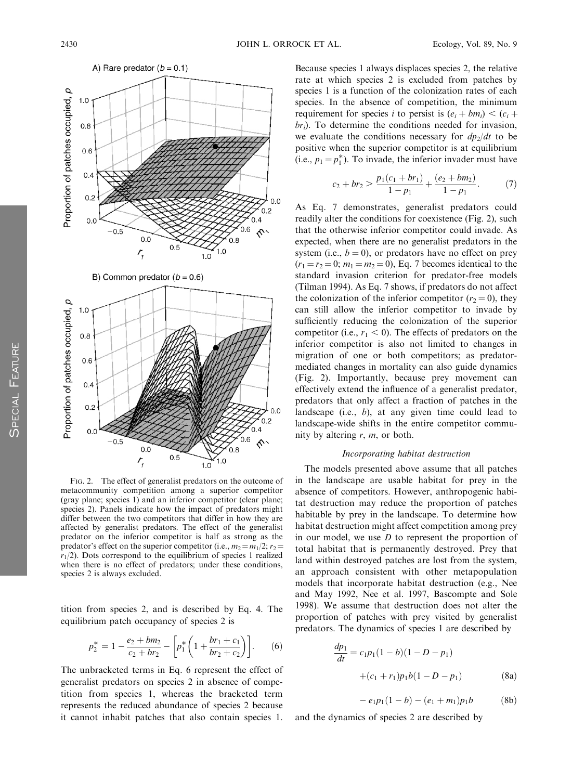

FIG. 2. The effect of generalist predators on the outcome of metacommunity competition among a superior competitor (gray plane; species 1) and an inferior competitor (clear plane; species 2). Panels indicate how the impact of predators might differ between the two competitors that differ in how they are affected by generalist predators. The effect of the generalist predator on the inferior competitor is half as strong as the predator's effect on the superior competitor (i.e.,  $m_2 = m_1/2$ ;  $r_2 =$  $r_1/2$ ). Dots correspond to the equilibrium of species 1 realized when there is no effect of predators; under these conditions, species 2 is always excluded.

tition from species 2, and is described by Eq. 4. The equilibrium patch occupancy of species 2 is

$$
p_2^* = 1 - \frac{e_2 + bm_2}{c_2 + br_2} - \left[ p_1^* \left( 1 + \frac{br_1 + c_1}{br_2 + c_2} \right) \right].
$$
 (6)

The unbracketed terms in Eq. 6 represent the effect of generalist predators on species 2 in absence of competition from species 1, whereas the bracketed term represents the reduced abundance of species 2 because it cannot inhabit patches that also contain species 1. Because species 1 always displaces species 2, the relative rate at which species 2 is excluded from patches by species 1 is a function of the colonization rates of each species. In the absence of competition, the minimum requirement for species i to persist is  $(e_i + bm_i) < (c_i +$  $br_i$ ). To determine the conditions needed for invasion, we evaluate the conditions necessary for  $dp_2/dt$  to be positive when the superior competitor is at equilibrium (i.e.,  $p_1 = p_1^*$ ). To invade, the inferior invader must have

$$
c_2 + br_2 > \frac{p_1(c_1 + br_1)}{1 - p_1} + \frac{(e_2 + bm_2)}{1 - p_1}.
$$
 (7)

As Eq. 7 demonstrates, generalist predators could readily alter the conditions for coexistence (Fig. 2), such that the otherwise inferior competitor could invade. As expected, when there are no generalist predators in the system (i.e.,  $b = 0$ ), or predators have no effect on prey  $(r_1 = r_2 = 0; m_1 = m_2 = 0)$ , Eq. 7 becomes identical to the standard invasion criterion for predator-free models (Tilman 1994). As Eq. 7 shows, if predators do not affect the colonization of the inferior competitor ( $r_2 = 0$ ), they can still allow the inferior competitor to invade by sufficiently reducing the colonization of the superior competitor (i.e.,  $r_1 < 0$ ). The effects of predators on the inferior competitor is also not limited to changes in migration of one or both competitors; as predatormediated changes in mortality can also guide dynamics (Fig. 2). Importantly, because prey movement can effectively extend the influence of a generalist predator, predators that only affect a fraction of patches in the landscape (i.e.,  $b$ ), at any given time could lead to landscape-wide shifts in the entire competitor community by altering  $r$ ,  $m$ , or both.

#### Incorporating habitat destruction

The models presented above assume that all patches in the landscape are usable habitat for prey in the absence of competitors. However, anthropogenic habitat destruction may reduce the proportion of patches habitable by prey in the landscape. To determine how habitat destruction might affect competition among prey in our model, we use  $D$  to represent the proportion of total habitat that is permanently destroyed. Prey that land within destroyed patches are lost from the system, an approach consistent with other metapopulation models that incorporate habitat destruction (e.g., Nee and May 1992, Nee et al. 1997, Bascompte and Sole 1998). We assume that destruction does not alter the proportion of patches with prey visited by generalist predators. The dynamics of species 1 are described by

$$
\frac{dp_1}{dt} = c_1 p_1 (1 - b)(1 - D - p_1)
$$
  
+(c<sub>1</sub> + r<sub>1</sub>)p<sub>1</sub>b(1 - D - p<sub>1</sub>) (8a)

$$
-e_1p_1(1-b) - (e_1+m_1)p_1b \qquad (8b)
$$

and the dynamics of species 2 are described by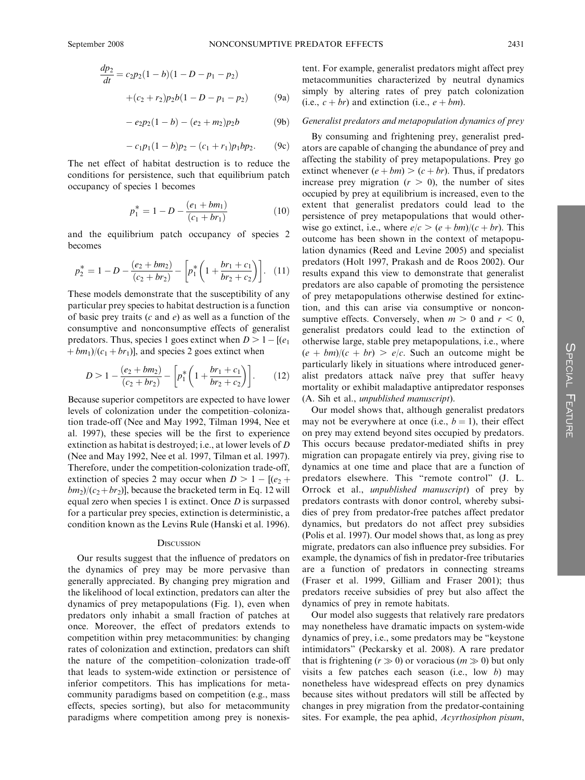$$
\frac{dp_2}{dt} = c_2 p_2 (1 - b)(1 - D - p_1 - p_2)
$$

$$
+ (c_2 + r_2)p_2 b (1 - D - p_1 - p_2)
$$
(9a)

$$
-e_2p_2(1-b)-(e_2+m_2)p_2b \qquad (9b)
$$

$$
-c_1p_1(1-b)p_2-(c_1+r_1)p_1bp_2.
$$
 (9c)

The net effect of habitat destruction is to reduce the conditions for persistence, such that equilibrium patch occupancy of species 1 becomes

$$
p_1^* = 1 - D - \frac{(e_1 + bm_1)}{(c_1 + br_1)}
$$
(10)

and the equilibrium patch occupancy of species 2 becomes

$$
p_2^* = 1 - D - \frac{(e_2 + bm_2)}{(c_2 + br_2)} - \left[ p_1^* \left( 1 + \frac{br_1 + c_1}{br_2 + c_2} \right) \right]. \tag{11}
$$

These models demonstrate that the susceptibility of any particular prey species to habitat destruction is a function of basic prey traits  $(c \text{ and } e)$  as well as a function of the consumptive and nonconsumptive effects of generalist predators. Thus, species 1 goes extinct when  $D > 1 - [(e_1$  $+bm_1/(c_1+br_1)$ , and species 2 goes extinct when

$$
D > 1 - \frac{(e_2 + bm_2)}{(c_2 + br_2)} - \left[ p_1^* \left( 1 + \frac{br_1 + c_1}{br_2 + c_2} \right) \right]. \tag{12}
$$

Because superior competitors are expected to have lower levels of colonization under the competition–colonization trade-off (Nee and May 1992, Tilman 1994, Nee et al. 1997), these species will be the first to experience extinction as habitat is destroyed; i.e., at lower levels of D (Nee and May 1992, Nee et al. 1997, Tilman et al. 1997). Therefore, under the competition-colonization trade-off, extinction of species 2 may occur when  $D > 1 - [(e_2 +$  $bm_2$ )( $c_2+br_2$ )], because the bracketed term in Eq. 12 will equal zero when species 1 is extinct. Once  $D$  is surpassed for a particular prey species, extinction is deterministic, a condition known as the Levins Rule (Hanski et al. 1996).

## **DISCUSSION**

Our results suggest that the influence of predators on the dynamics of prey may be more pervasive than generally appreciated. By changing prey migration and the likelihood of local extinction, predators can alter the dynamics of prey metapopulations (Fig. 1), even when predators only inhabit a small fraction of patches at once. Moreover, the effect of predators extends to competition within prey metacommunities: by changing rates of colonization and extinction, predators can shift the nature of the competition–colonization trade-off that leads to system-wide extinction or persistence of inferior competitors. This has implications for metacommunity paradigms based on competition (e.g., mass effects, species sorting), but also for metacommunity paradigms where competition among prey is nonexistent. For example, generalist predators might affect prey metacommunities characterized by neutral dynamics simply by altering rates of prey patch colonization (i.e.,  $c + br$ ) and extinction (i.e.,  $e + bm$ ).

## Generalist predators and metapopulation dynamics of prey

By consuming and frightening prey, generalist predators are capable of changing the abundance of prey and affecting the stability of prey metapopulations. Prey go extinct whenever  $(e + bm) > (c + br)$ . Thus, if predators increase prey migration  $(r > 0)$ , the number of sites occupied by prey at equilibrium is increased, even to the extent that generalist predators could lead to the persistence of prey metapopulations that would otherwise go extinct, i.e., where  $e/c > (e + bm)/(c + br)$ . This outcome has been shown in the context of metapopulation dynamics (Reed and Levine 2005) and specialist predators (Holt 1997, Prakash and de Roos 2002). Our results expand this view to demonstrate that generalist predators are also capable of promoting the persistence of prey metapopulations otherwise destined for extinction, and this can arise via consumptive or nonconsumptive effects. Conversely, when  $m > 0$  and  $r < 0$ , generalist predators could lead to the extinction of otherwise large, stable prey metapopulations, i.e., where  $(e + bm)/(c + br) > e/c$ . Such an outcome might be particularly likely in situations where introduced generalist predators attack naïve prey that suffer heavy mortality or exhibit maladaptive antipredator responses (A. Sih et al., unpublished manuscript).

Our model shows that, although generalist predators may not be everywhere at once (i.e.,  $b = 1$ ), their effect on prey may extend beyond sites occupied by predators. This occurs because predator-mediated shifts in prey migration can propagate entirely via prey, giving rise to dynamics at one time and place that are a function of predators elsewhere. This ''remote control'' (J. L. Orrock et al., unpublished manuscript) of prey by predators contrasts with donor control, whereby subsidies of prey from predator-free patches affect predator dynamics, but predators do not affect prey subsidies (Polis et al. 1997). Our model shows that, as long as prey migrate, predators can also influence prey subsidies. For example, the dynamics of fish in predator-free tributaries are a function of predators in connecting streams (Fraser et al. 1999, Gilliam and Fraser 2001); thus predators receive subsidies of prey but also affect the dynamics of prey in remote habitats.

Our model also suggests that relatively rare predators may nonetheless have dramatic impacts on system-wide dynamics of prey, i.e., some predators may be ''keystone intimidators'' (Peckarsky et al. 2008). A rare predator that is frightening ( $r \gg 0$ ) or voracious ( $m \gg 0$ ) but only visits a few patches each season (i.e., low  $b$ ) may nonetheless have widespread effects on prey dynamics because sites without predators will still be affected by changes in prey migration from the predator-containing sites. For example, the pea aphid, Acyrthosiphon pisum,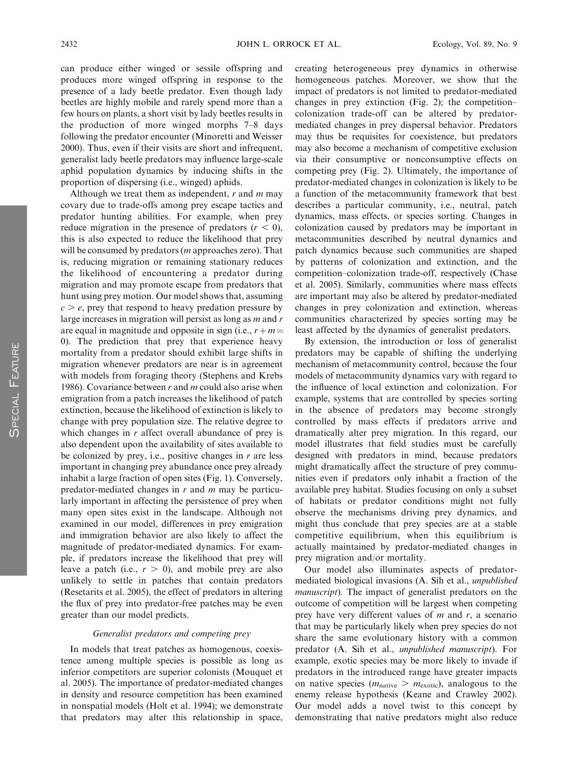can produce either winged or sessile offspring and produces more winged offspring in response to the presence of a lady beetle predator. Even though lady beetles are highly mobile and rarely spend more than a few hours on plants, a short visit by lady beetles results in the production of more winged morphs 7–8 days following the predator encounter (Minoretti and Weisser 2000). Thus, even if their visits are short and infrequent, generalist lady beetle predators may influence large-scale aphid population dynamics by inducing shifts in the proportion of dispersing (i.e., winged) aphids.

Although we treat them as independent,  $r$  and  $m$  may covary due to trade-offs among prey escape tactics and predator hunting abilities. For example, when prey reduce migration in the presence of predators  $(r < 0)$ , this is also expected to reduce the likelihood that prey will be consumed by predators (m approaches zero). That is, reducing migration or remaining stationary reduces the likelihood of encountering a predator during migration and may promote escape from predators that hunt using prey motion. Our model shows that, assuming  $c > e$ , prey that respond to heavy predation pressure by large increases in migration will persist as long as  $m$  and  $r$ are equal in magnitude and opposite in sign (i.e.,  $r + m =$ 0). The prediction that prey that experience heavy mortality from a predator should exhibit large shifts in migration whenever predators are near is in agreement with models from foraging theory (Stephens and Krebs 1986). Covariance between  $r$  and  $m$  could also arise when emigration from a patch increases the likelihood of patch extinction, because the likelihood of extinction is likely to change with prey population size. The relative degree to which changes in  $r$  affect overall abundance of prey is also dependent upon the availability of sites available to be colonized by prey, i.e., positive changes in  $r$  are less important in changing prey abundance once prey already inhabit a large fraction of open sites (Fig. 1). Conversely, predator-mediated changes in  $r$  and  $m$  may be particularly important in affecting the persistence of prey when many open sites exist in the landscape. Although not examined in our model, differences in prey emigration and immigration behavior are also likely to affect the magnitude of predator-mediated dynamics. For example, if predators increase the likelihood that prey will leave a patch (i.e.,  $r > 0$ ), and mobile prey are also unlikely to settle in patches that contain predators (Resetarits et al. 2005), the effect of predators in altering the flux of prey into predator-free patches may be even greater than our model predicts.

## Generalist predators and competing prey

In models that treat patches as homogenous, coexistence among multiple species is possible as long as inferior competitors are superior colonists (Mouquet et al. 2005). The importance of predator-mediated changes in density and resource competition has been examined in nonspatial models (Holt et al. 1994); we demonstrate that predators may alter this relationship in space, creating heterogeneous prey dynamics in otherwise homogeneous patches. Moreover, we show that the impact of predators is not limited to predator-mediated changes in prey extinction (Fig. 2); the competition– colonization trade-off can be altered by predatormediated changes in prey dispersal behavior. Predators may thus be requisites for coexistence, but predators may also become a mechanism of competitive exclusion via their consumptive or nonconsumptive effects on competing prey (Fig. 2). Ultimately, the importance of predator-mediated changes in colonization is likely to be a function of the metacommunity framework that best describes a particular community, i.e., neutral, patch dynamics, mass effects, or species sorting. Changes in colonization caused by predators may be important in metacommunities described by neutral dynamics and patch dynamics because such communities are shaped by patterns of colonization and extinction, and the competition–colonization trade-off, respectively (Chase et al. 2005). Similarly, communities where mass effects are important may also be altered by predator-mediated changes in prey colonization and extinction, whereas communities characterized by species sorting may be least affected by the dynamics of generalist predators.

By extension, the introduction or loss of generalist predators may be capable of shifting the underlying mechanism of metacommunity control, because the four models of metacommunity dynamics vary with regard to the influence of local extinction and colonization. For example, systems that are controlled by species sorting in the absence of predators may become strongly controlled by mass effects if predators arrive and dramatically alter prey migration. In this regard, our model illustrates that field studies must be carefully designed with predators in mind, because predators might dramatically affect the structure of prey communities even if predators only inhabit a fraction of the available prey habitat. Studies focusing on only a subset of habitats or predator conditions might not fully observe the mechanisms driving prey dynamics, and might thus conclude that prey species are at a stable competitive equilibrium, when this equilibrium is actually maintained by predator-mediated changes in prey migration and/or mortality.

Our model also illuminates aspects of predatormediated biological invasions (A. Sih et al., unpublished manuscript). The impact of generalist predators on the outcome of competition will be largest when competing prey have very different values of  $m$  and  $r$ , a scenario that may be particularly likely when prey species do not share the same evolutionary history with a common predator (A. Sih et al., unpublished manuscript). For example, exotic species may be more likely to invade if predators in the introduced range have greater impacts on native species ( $m_{\text{native}} > m_{\text{exotic}}$ ), analogous to the enemy release hypothesis (Keane and Crawley 2002). Our model adds a novel twist to this concept by demonstrating that native predators might also reduce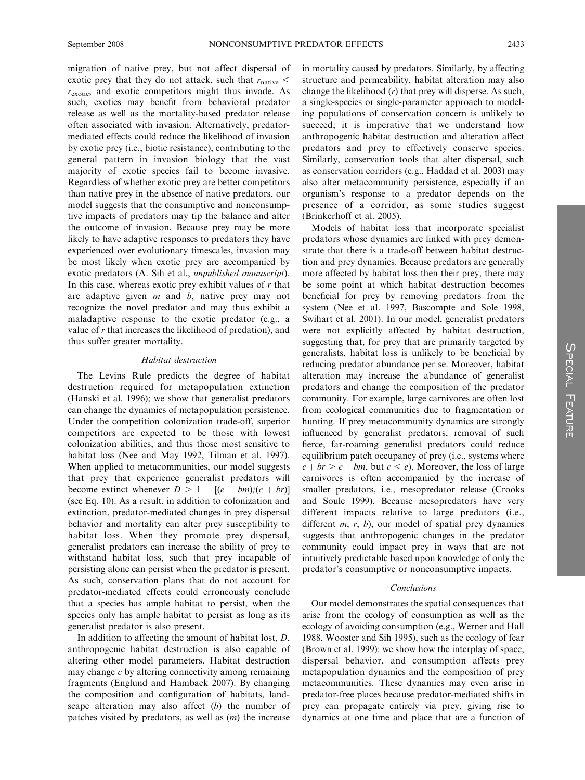migration of native prey, but not affect dispersal of exotic prey that they do not attack, such that  $r_{\text{native}} <$  $r_{\text{exotic}}$ , and exotic competitors might thus invade. As such, exotics may benefit from behavioral predator release as well as the mortality-based predator release often associated with invasion. Alternatively, predatormediated effects could reduce the likelihood of invasion by exotic prey (i.e., biotic resistance), contributing to the general pattern in invasion biology that the vast majority of exotic species fail to become invasive. Regardless of whether exotic prey are better competitors than native prey in the absence of native predators, our model suggests that the consumptive and nonconsumptive impacts of predators may tip the balance and alter the outcome of invasion. Because prey may be more likely to have adaptive responses to predators they have experienced over evolutionary timescales, invasion may be most likely when exotic prey are accompanied by exotic predators (A. Sih et al., unpublished manuscript). In this case, whereas exotic prey exhibit values of  $r$  that are adaptive given  $m$  and  $b$ , native prey may not recognize the novel predator and may thus exhibit a maladaptive response to the exotic predator (e.g., a value of r that increases the likelihood of predation), and thus suffer greater mortality.

## Habitat destruction

The Levins Rule predicts the degree of habitat destruction required for metapopulation extinction (Hanski et al. 1996); we show that generalist predators can change the dynamics of metapopulation persistence. Under the competition–colonization trade-off, superior competitors are expected to be those with lowest colonization abilities, and thus those most sensitive to habitat loss (Nee and May 1992, Tilman et al. 1997). When applied to metacommunities, our model suggests that prey that experience generalist predators will become extinct whenever  $D > 1 - [(e + bm)/(c + br)]$ (see Eq. 10). As a result, in addition to colonization and extinction, predator-mediated changes in prey dispersal behavior and mortality can alter prey susceptibility to habitat loss. When they promote prey dispersal, generalist predators can increase the ability of prey to withstand habitat loss, such that prey incapable of persisting alone can persist when the predator is present. As such, conservation plans that do not account for predator-mediated effects could erroneously conclude that a species has ample habitat to persist, when the species only has ample habitat to persist as long as its generalist predator is also present.

In addition to affecting the amount of habitat lost, D, anthropogenic habitat destruction is also capable of altering other model parameters. Habitat destruction may change  $c$  by altering connectivity among remaining fragments (Englund and Hamback 2007). By changing the composition and configuration of habitats, landscape alteration may also affect  $(b)$  the number of patches visited by predators, as well as (m) the increase in mortality caused by predators. Similarly, by affecting structure and permeability, habitat alteration may also change the likelihood  $(r)$  that prey will disperse. As such, a single-species or single-parameter approach to modeling populations of conservation concern is unlikely to succeed; it is imperative that we understand how anthropogenic habitat destruction and alteration affect predators and prey to effectively conserve species. Similarly, conservation tools that alter dispersal, such as conservation corridors (e.g., Haddad et al. 2003) may also alter metacommunity persistence, especially if an organism's response to a predator depends on the presence of a corridor, as some studies suggest (Brinkerhoff et al. 2005).

Models of habitat loss that incorporate specialist predators whose dynamics are linked with prey demonstrate that there is a trade-off between habitat destruction and prey dynamics. Because predators are generally more affected by habitat loss then their prey, there may be some point at which habitat destruction becomes beneficial for prey by removing predators from the system (Nee et al. 1997, Bascompte and Sole 1998, Swihart et al. 2001). In our model, generalist predators were not explicitly affected by habitat destruction, suggesting that, for prey that are primarily targeted by generalists, habitat loss is unlikely to be beneficial by reducing predator abundance per se. Moreover, habitat alteration may increase the abundance of generalist predators and change the composition of the predator community. For example, large carnivores are often lost from ecological communities due to fragmentation or hunting. If prey metacommunity dynamics are strongly influenced by generalist predators, removal of such fierce, far-roaming generalist predators could reduce equilibrium patch occupancy of prey (i.e., systems where  $c + br > e + bm$ , but  $c < e$ ). Moreover, the loss of large carnivores is often accompanied by the increase of smaller predators, i.e., mesopredator release (Crooks and Soule 1999). Because mesopredators have very different impacts relative to large predators (i.e., different  $m$ ,  $r$ ,  $b$ ), our model of spatial prey dynamics suggests that anthropogenic changes in the predator community could impact prey in ways that are not intuitively predictable based upon knowledge of only the predator's consumptive or nonconsumptive impacts.

## Conclusions

Our model demonstrates the spatial consequences that arise from the ecology of consumption as well as the ecology of avoiding consumption (e.g., Werner and Hall 1988, Wooster and Sih 1995), such as the ecology of fear (Brown et al. 1999): we show how the interplay of space, dispersal behavior, and consumption affects prey metapopulation dynamics and the composition of prey metacommunities. These dynamics may even arise in predator-free places because predator-mediated shifts in prey can propagate entirely via prey, giving rise to dynamics at one time and place that are a function of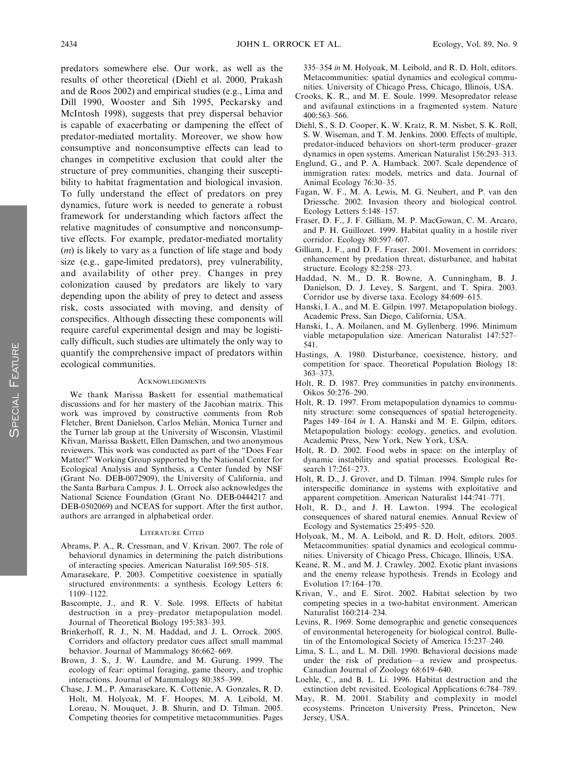predators somewhere else. Our work, as well as the results of other theoretical (Diehl et al. 2000, Prakash and de Roos 2002) and empirical studies (e.g., Lima and Dill 1990, Wooster and Sih 1995, Peckarsky and McIntosh 1998), suggests that prey dispersal behavior is capable of exacerbating or dampening the effect of predator-mediated mortality. Moreover, we show how consumptive and nonconsumptive effects can lead to changes in competitive exclusion that could alter the structure of prey communities, changing their susceptibility to habitat fragmentation and biological invasion. To fully understand the effect of predators on prey dynamics, future work is needed to generate a robust framework for understanding which factors affect the relative magnitudes of consumptive and nonconsumptive effects. For example, predator-mediated mortality (m) is likely to vary as a function of life stage and body size (e.g., gape-limited predators), prey vulnerability, and availability of other prey. Changes in prey colonization caused by predators are likely to vary depending upon the ability of prey to detect and assess risk, costs associated with moving, and density of conspecifics. Although dissecting these components will require careful experimental design and may be logistically difficult, such studies are ultimately the only way to quantify the comprehensive impact of predators within ecological communities.

#### ACKNOWLEDGMENTS

We thank Marissa Baskett for essential mathematical discussions and for her mastery of the Jacobian matrix. This work was improved by constructive comments from Rob Fletcher, Brent Danielson, Carlos Melián, Monica Turner and the Turner lab group at the University of Wisconsin, Vlastimil Křivan, Marissa Baskett, Ellen Damschen, and two anonymous reviewers. This work was conducted as part of the ''Does Fear Matter?'' Working Group supported by the National Center for Ecological Analysis and Synthesis, a Center funded by NSF (Grant No. DEB-0072909), the University of California, and the Santa Barbara Campus. J. L. Orrock also acknowledges the National Science Foundation (Grant No. DEB-0444217 and DEB-0502069) and NCEAS for support. After the first author, authors are arranged in alphabetical order.

#### LITERATURE CITED

- Abrams, P. A., R. Cressman, and V. Krivan. 2007. The role of behavioral dynamics in determining the patch distributions of interacting species. American Naturalist 169:505–518.
- Amarasekare, P. 2003. Competitive coexistence in spatially structured environments: a synthesis. Ecology Letters 6: 1109–1122.
- Bascompte, J., and R. V. Sole. 1998. Effects of habitat destruction in a prey–predator metapopulation model. Journal of Theoretical Biology 195:383–393.
- Brinkerhoff, R. J., N. M. Haddad, and J. L. Orrock. 2005. Corridors and olfactory predator cues affect small mammal behavior. Journal of Mammalogy 86:662–669.
- Brown, J. S., J. W. Laundre, and M. Gurung. 1999. The ecology of fear: optimal foraging, game theory, and trophic interactions. Journal of Mammalogy 80:385–399.
- Chase, J. M., P. Amarasekare, K. Cottenie, A. Gonzales, R. D. Holt, M. Holyoak, M. F. Hoopes, M. A. Leibold, M. Loreau, N. Mouquet, J. B. Shurin, and D. Tilman. 2005. Competing theories for competitive metacommunities. Pages

335–354 in M. Holyoak, M. Leibold, and R. D. Holt, editors. Metacommunities: spatial dynamics and ecological communities. University of Chicago Press, Chicago, Illinois, USA.

- Crooks, K. R., and M. E. Soule. 1999. Mesopredator release and avifaunal extinctions in a fragmented system. Nature 400:563–566.
- Diehl, S., S. D. Cooper, K. W. Kratz, R. M. Nisbet, S. K. Roll, S. W. Wiseman, and T. M. Jenkins. 2000. Effects of multiple, predator-induced behaviors on short-term producer–grazer dynamics in open systems. American Naturalist 156:293–313.
- Englund, G., and P. A. Hamback. 2007. Scale dependence of immigration rates: models, metrics and data. Journal of Animal Ecology 76:30–35.
- Fagan, W. F., M. A. Lewis, M. G. Neubert, and P. van den Driessche. 2002. Invasion theory and biological control. Ecology Letters 5:148–157.
- Fraser, D. F., J. F. Gilliam, M. P. MacGowan, C. M. Arcaro, and P. H. Guillozet. 1999. Habitat quality in a hostile river corridor. Ecology 80:597–607.
- Gilliam, J. F., and D. F. Fraser. 2001. Movement in corridors: enhancement by predation threat, disturbance, and habitat structure. Ecology 82:258–273.
- Haddad, N. M., D. R. Bowne, A. Cunningham, B. J. Danielson, D. J. Levey, S. Sargent, and T. Spira. 2003. Corridor use by diverse taxa. Ecology 84:609–615.
- Hanski, I. A., and M. E. Gilpin. 1997. Metapopulation biology. Academic Press, San Diego, California, USA.
- Hanski, I., A. Moilanen, and M. Gyllenberg. 1996. Minimum viable metapopulation size. American Naturalist 147:527– 541.
- Hastings, A. 1980. Disturbance, coexistence, history, and competition for space. Theoretical Population Biology 18: 363–373.
- Holt, R. D. 1987. Prey communities in patchy environments. Oikos 50:276–290.
- Holt, R. D. 1997. From metapopulation dynamics to community structure: some consequences of spatial heterogeneity. Pages 149–164 in I. A. Hanski and M. E. Gilpin, editors. Metapopulation biology: ecology, genetics, and evolution. Academic Press, New York, New York, USA.
- Holt, R. D. 2002. Food webs in space: on the interplay of dynamic instability and spatial processes. Ecological Research 17:261–273.
- Holt, R. D., J. Grover, and D. Tilman. 1994. Simple rules for interspecific dominance in systems with exploitative and apparent competition. American Naturalist 144:741–771.
- Holt, R. D., and J. H. Lawton. 1994. The ecological consequences of shared natural enemies. Annual Review of Ecology and Systematics 25:495–520.
- Holyoak, M., M. A. Leibold, and R. D. Holt, editors. 2005. Metacommunities: spatial dynamics and ecological communities. University of Chicago Press, Chicago, Illinois, USA.
- Keane, R. M., and M. J. Crawley. 2002. Exotic plant invasions and the enemy release hypothesis. Trends in Ecology and Evolution 17:164–170.
- Krivan, V., and E. Sirot. 2002. Habitat selection by two competing species in a two-habitat environment. American Naturalist 160:214–234.
- Levins, R. 1969. Some demographic and genetic consequences of environmental heterogeneity for biological control. Bulletin of the Entomological Society of America 15:237–240.
- Lima, S. L., and L. M. Dill. 1990. Behavioral decisions made under the risk of predation—a review and prospectus. Canadian Journal of Zoology 68:619–640.
- Loehle, C., and B. L. Li. 1996. Habitat destruction and the extinction debt revisited. Ecological Applications 6:784–789.
- May, R. M. 2001. Stability and complexity in model ecosystems. Princeton University Press, Princeton, New Jersey, USA.